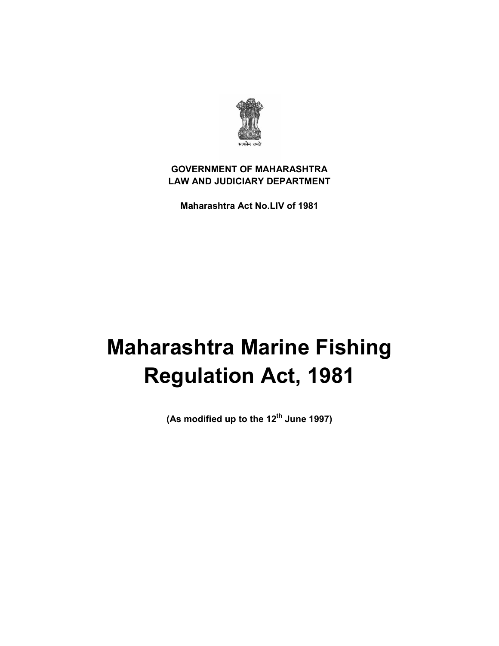

# **GOVERNMENT OF MAHARASHTRA LAW AND JUDICIARY DEPARTMENT**

 **Maharashtra Act No.LIV of 1981**

# **Maharashtra Marine Fishing Regulation Act, 1981**

 **(As modified up to the 12th June 1997)**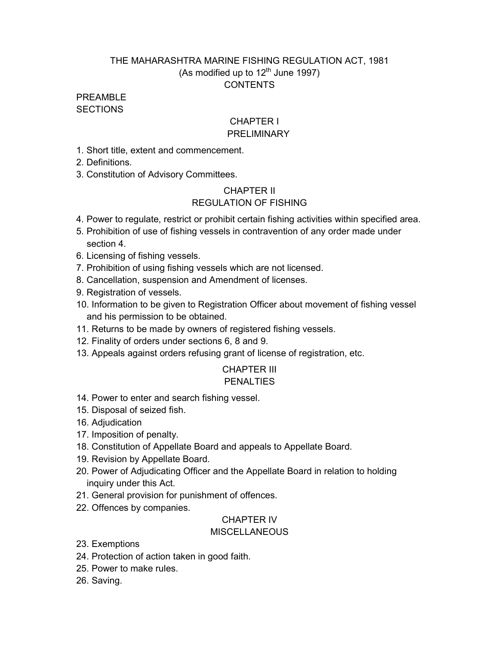# THE MAHARASHTRA MARINE FISHING REGULATION ACT, 1981 (As modified up to  $12^{th}$  June 1997) **CONTENTS**

### PRFAMBL<sub>F</sub> **SECTIONS**

# **CHAPTER I**

# PRELIMINARY

1. Short title, extent and commencement.

2. Definitions.

3. Constitution of Advisory Committees.

# CHAPTER II REGULATION OF FISHING

- 4. Power to regulate, restrict or prohibit certain fishing activities within specified area.
- 5. Prohibition of use of fishing vessels in contravention of any order made under section 4.
- 6. Licensing of fishing vessels.
- 7. Prohibition of using fishing vessels which are not licensed.
- 8. Cancellation, suspension and Amendment of licenses.
- 9. Registration of vessels.
- 10. Information to be given to Registration Officer about movement of fishing vessel and his permission to be obtained.
- 11. Returns to be made by owners of registered fishing vessels.
- 12. Finality of orders under sections 6, 8 and 9.
- 13. Appeals against orders refusing grant of license of registration, etc.

#### CHAPTER III **PENALTIES**

- 14. Power to enter and search fishing vessel.
- 15. Disposal of seized fish.
- 16. Adjudication
- 17. Imposition of penalty.
- 18. Constitution of Appellate Board and appeals to Appellate Board.
- 19. Revision by Appellate Board.
- 20. Power of Adjudicating Officer and the Appellate Board in relation to holding inquiry under this Act.
- 21. General provision for punishment of offences.
- 22. Offences by companies.

# CHAPTER IV

# **MISCELLANEOUS**

- 23. Exemptions
- 24. Protection of action taken in good faith.
- 25. Power to make rules.
- 26. Saving.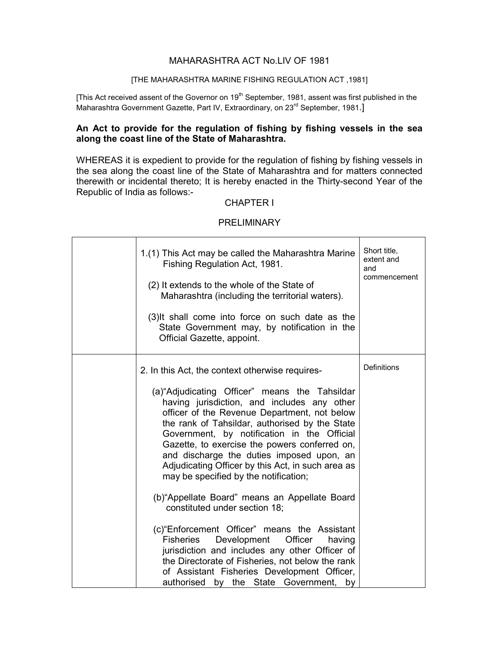#### MAHARASHTRA ACT No.LIV OF 1981

#### [THE MAHARASHTRA MARINE FISHING REGULATION ACT ,1981]

[This Act received assent of the Governor on 19<sup>th</sup> September, 1981, assent was first published in the Maharashtra Government Gazette, Part IV, Extraordinary, on 23<sup>rd</sup> September, 1981.]

#### An Act to provide for the regulation of fishing by fishing vessels in the sea  **along the coast line of the State of Maharashtra.**

 WHEREAS it is expedient to provide for the regulation of fishing by fishing vessels in the sea along the coast line of the State of Maharashtra and for matters connected therewith or incidental thereto; It is hereby enacted in the Thirty-second Year of the Republic of India as follows:

#### CHAPTER I

#### **PRELIMINARY**

| 1.(1) This Act may be called the Maharashtra Marine<br>Fishing Regulation Act, 1981.<br>(2) It extends to the whole of the State of<br>Maharashtra (including the territorial waters).<br>(3) It shall come into force on such date as the<br>State Government may, by notification in the<br>Official Gazette, appoint.                                                                                                                                                                                                                        | Short title,<br>extent and<br>and<br>commencement |
|-------------------------------------------------------------------------------------------------------------------------------------------------------------------------------------------------------------------------------------------------------------------------------------------------------------------------------------------------------------------------------------------------------------------------------------------------------------------------------------------------------------------------------------------------|---------------------------------------------------|
| 2. In this Act, the context otherwise requires-<br>(a) "Adjudicating Officer" means the Tahsildar<br>having jurisdiction, and includes any other<br>officer of the Revenue Department, not below<br>the rank of Tahsildar, authorised by the State<br>Government, by notification in the Official<br>Gazette, to exercise the powers conferred on,<br>and discharge the duties imposed upon, an<br>Adjudicating Officer by this Act, in such area as<br>may be specified by the notification;<br>(b) "Appellate Board" means an Appellate Board | Definitions                                       |
| constituted under section 18;<br>(c) "Enforcement Officer" means the Assistant<br>Development Officer<br>Fisheries<br>having<br>jurisdiction and includes any other Officer of<br>the Directorate of Fisheries, not below the rank<br>of Assistant Fisheries Development Officer,<br>authorised by the State Government,<br>by                                                                                                                                                                                                                  |                                                   |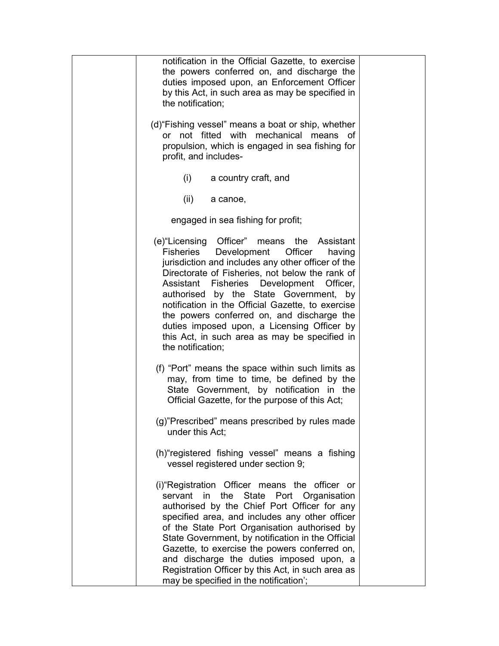| notification in the Official Gazette, to exercise<br>the powers conferred on, and discharge the<br>duties imposed upon, an Enforcement Officer<br>by this Act, in such area as may be specified in<br>the notification;                                                                                                                                                                                                                                                                                                            |  |
|------------------------------------------------------------------------------------------------------------------------------------------------------------------------------------------------------------------------------------------------------------------------------------------------------------------------------------------------------------------------------------------------------------------------------------------------------------------------------------------------------------------------------------|--|
| (d) "Fishing vessel" means a boat or ship, whether<br>or not fitted with mechanical means of<br>propulsion, which is engaged in sea fishing for<br>profit, and includes-                                                                                                                                                                                                                                                                                                                                                           |  |
| (i)<br>a country craft, and                                                                                                                                                                                                                                                                                                                                                                                                                                                                                                        |  |
| (ii)<br>a canoe,                                                                                                                                                                                                                                                                                                                                                                                                                                                                                                                   |  |
| engaged in sea fishing for profit;                                                                                                                                                                                                                                                                                                                                                                                                                                                                                                 |  |
| (e) "Licensing Officer" means<br>the<br>Assistant<br>Officer<br>Fisheries<br>Development<br>having<br>jurisdiction and includes any other officer of the<br>Directorate of Fisheries, not below the rank of<br>Assistant Fisheries<br>Development<br>Officer,<br>authorised by the State Government,<br>by<br>notification in the Official Gazette, to exercise<br>the powers conferred on, and discharge the<br>duties imposed upon, a Licensing Officer by<br>this Act, in such area as may be specified in<br>the notification; |  |
| (f) "Port" means the space within such limits as<br>may, from time to time, be defined by the<br>State Government, by notification in the<br>Official Gazette, for the purpose of this Act;                                                                                                                                                                                                                                                                                                                                        |  |
| (g)"Prescribed" means prescribed by rules made<br>under this Act;                                                                                                                                                                                                                                                                                                                                                                                                                                                                  |  |
| (h) "registered fishing vessel" means a fishing<br>vessel registered under section 9;                                                                                                                                                                                                                                                                                                                                                                                                                                              |  |
| (i) "Registration Officer means the officer or<br>servant in the<br>State Port Organisation<br>authorised by the Chief Port Officer for any<br>specified area, and includes any other officer<br>of the State Port Organisation authorised by<br>State Government, by notification in the Official<br>Gazette, to exercise the powers conferred on,<br>and discharge the duties imposed upon, a<br>Registration Officer by this Act, in such area as<br>may be specified in the notification';                                     |  |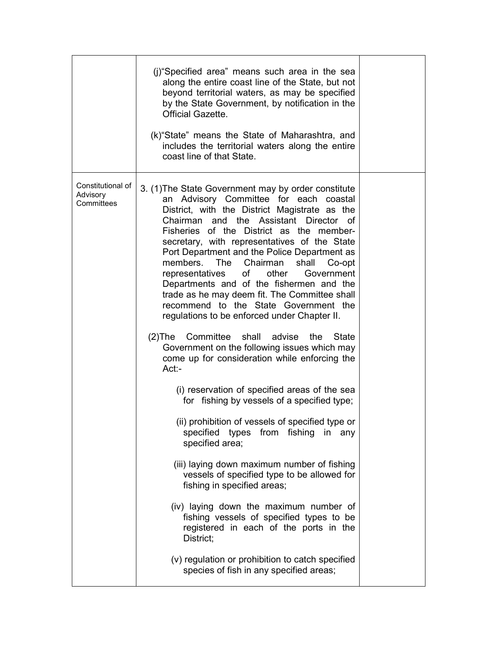|                                             | (i) "Specified area" means such area in the sea<br>along the entire coast line of the State, but not<br>beyond territorial waters, as may be specified<br>by the State Government, by notification in the<br><b>Official Gazette.</b><br>(k) "State" means the State of Maharashtra, and<br>includes the territorial waters along the entire<br>coast line of that State.                                                                                                                                                                                                                                                                                                                                                                                                                                                                                                                                                                                                                                                                                                                                                                                                                                                                                                                                                                                                            |  |
|---------------------------------------------|--------------------------------------------------------------------------------------------------------------------------------------------------------------------------------------------------------------------------------------------------------------------------------------------------------------------------------------------------------------------------------------------------------------------------------------------------------------------------------------------------------------------------------------------------------------------------------------------------------------------------------------------------------------------------------------------------------------------------------------------------------------------------------------------------------------------------------------------------------------------------------------------------------------------------------------------------------------------------------------------------------------------------------------------------------------------------------------------------------------------------------------------------------------------------------------------------------------------------------------------------------------------------------------------------------------------------------------------------------------------------------------|--|
| Constitutional of<br>Advisory<br>Committees | 3. (1) The State Government may by order constitute<br>an Advisory Committee for each coastal<br>District, with the District Magistrate as the<br>Chairman and the Assistant Director of<br>Fisheries of the District as the member-<br>secretary, with representatives of the State<br>Port Department and the Police Department as<br>members. The Chairman<br>shall<br>Co-opt<br>of other<br>Government<br>representatives<br>Departments and of the fishermen and the<br>trade as he may deem fit. The Committee shall<br>recommend to the State Government the<br>regulations to be enforced under Chapter II.<br>(2) The Committee<br>shall advise<br>the<br>State<br>Government on the following issues which may<br>come up for consideration while enforcing the<br>$Act:-$<br>(i) reservation of specified areas of the sea<br>for fishing by vessels of a specified type;<br>(ii) prohibition of vessels of specified type or<br>specified types<br>from fishing<br>in<br>any<br>specified area;<br>(iii) laying down maximum number of fishing<br>vessels of specified type to be allowed for<br>fishing in specified areas;<br>(iv) laying down the maximum number of<br>fishing vessels of specified types to be<br>registered in each of the ports in the<br>District;<br>(v) regulation or prohibition to catch specified<br>species of fish in any specified areas; |  |
|                                             |                                                                                                                                                                                                                                                                                                                                                                                                                                                                                                                                                                                                                                                                                                                                                                                                                                                                                                                                                                                                                                                                                                                                                                                                                                                                                                                                                                                      |  |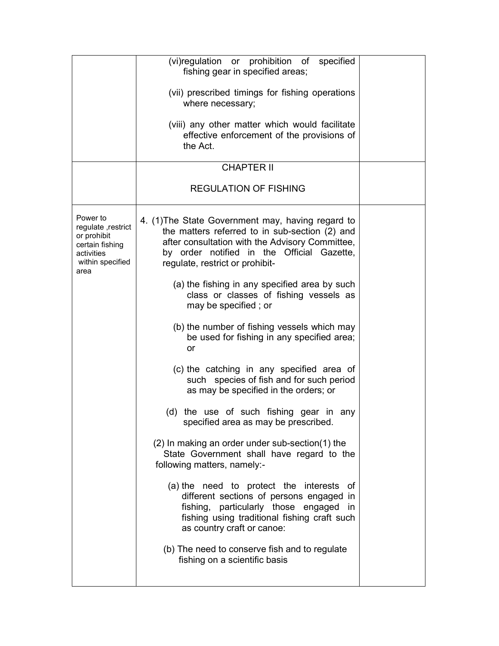|                                                                                                             | (vi)regulation or prohibition of specified<br>fishing gear in specified areas;<br>(vii) prescribed timings for fishing operations<br>where necessary;<br>(viii) any other matter which would facilitate<br>effective enforcement of the provisions of<br>the Act.<br><b>CHAPTER II</b> |  |
|-------------------------------------------------------------------------------------------------------------|----------------------------------------------------------------------------------------------------------------------------------------------------------------------------------------------------------------------------------------------------------------------------------------|--|
|                                                                                                             | <b>REGULATION OF FISHING</b>                                                                                                                                                                                                                                                           |  |
| Power to<br>regulate , restrict<br>or prohibit<br>certain fishing<br>activities<br>within specified<br>area | 4. (1) The State Government may, having regard to<br>the matters referred to in sub-section (2) and<br>after consultation with the Advisory Committee,<br>by order notified in the Official Gazette,<br>regulate, restrict or prohibit-                                                |  |
|                                                                                                             | (a) the fishing in any specified area by such<br>class or classes of fishing vessels as<br>may be specified; or                                                                                                                                                                        |  |
|                                                                                                             | (b) the number of fishing vessels which may<br>be used for fishing in any specified area;<br>or                                                                                                                                                                                        |  |
|                                                                                                             | (c) the catching in any specified area of<br>such species of fish and for such period<br>as may be specified in the orders; or                                                                                                                                                         |  |
|                                                                                                             | (d) the use of such fishing gear in any<br>specified area as may be prescribed.                                                                                                                                                                                                        |  |
|                                                                                                             | (2) In making an order under sub-section(1) the<br>State Government shall have regard to the<br>following matters, namely:-                                                                                                                                                            |  |
|                                                                                                             | (a) the need to protect the interests<br>οf<br>different sections of persons engaged in<br>fishing, particularly those engaged<br>in<br>fishing using traditional fishing craft such<br>as country craft or canoe:                                                                     |  |
|                                                                                                             | (b) The need to conserve fish and to regulate<br>fishing on a scientific basis                                                                                                                                                                                                         |  |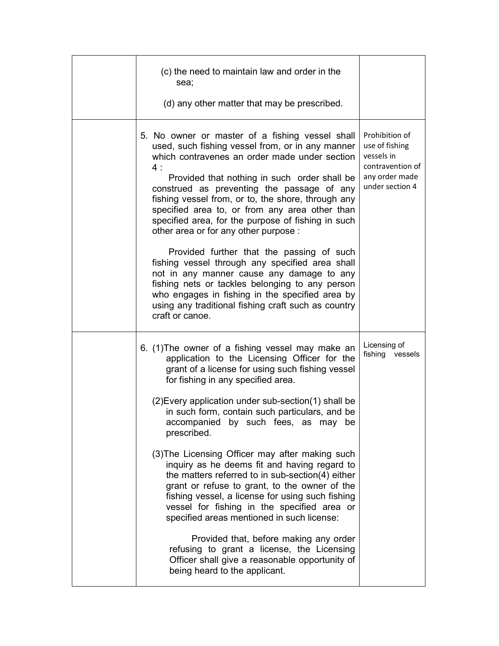| (c) the need to maintain law and order in the<br>sea;<br>(d) any other matter that may be prescribed.                                                                                                                                                                                                                                                                                                                                                                                                        |                                                                                                         |
|--------------------------------------------------------------------------------------------------------------------------------------------------------------------------------------------------------------------------------------------------------------------------------------------------------------------------------------------------------------------------------------------------------------------------------------------------------------------------------------------------------------|---------------------------------------------------------------------------------------------------------|
| 5. No owner or master of a fishing vessel shall<br>used, such fishing vessel from, or in any manner<br>which contravenes an order made under section<br>4:<br>Provided that nothing in such order shall be<br>construed as preventing the passage of any<br>fishing vessel from, or to, the shore, through any<br>specified area to, or from any area other than<br>specified area, for the purpose of fishing in such<br>other area or for any other purpose :<br>Provided further that the passing of such | Prohibition of<br>use of fishing<br>vessels in<br>contravention of<br>any order made<br>under section 4 |
| fishing vessel through any specified area shall<br>not in any manner cause any damage to any<br>fishing nets or tackles belonging to any person<br>who engages in fishing in the specified area by<br>using any traditional fishing craft such as country<br>craft or canoe.                                                                                                                                                                                                                                 |                                                                                                         |
| 6. (1) The owner of a fishing vessel may make an<br>application to the Licensing Officer for the<br>grant of a license for using such fishing vessel<br>for fishing in any specified area.                                                                                                                                                                                                                                                                                                                   | Licensing of<br>fishing<br>vessels                                                                      |
| (2) Every application under sub-section (1) shall be<br>in such form, contain such particulars, and be<br>accompanied by such fees, as may be<br>prescribed.                                                                                                                                                                                                                                                                                                                                                 |                                                                                                         |
| (3) The Licensing Officer may after making such<br>inquiry as he deems fit and having regard to<br>the matters referred to in sub-section(4) either<br>grant or refuse to grant, to the owner of the<br>fishing vessel, a license for using such fishing<br>vessel for fishing in the specified area or<br>specified areas mentioned in such license:                                                                                                                                                        |                                                                                                         |
| Provided that, before making any order<br>refusing to grant a license, the Licensing<br>Officer shall give a reasonable opportunity of<br>being heard to the applicant.                                                                                                                                                                                                                                                                                                                                      |                                                                                                         |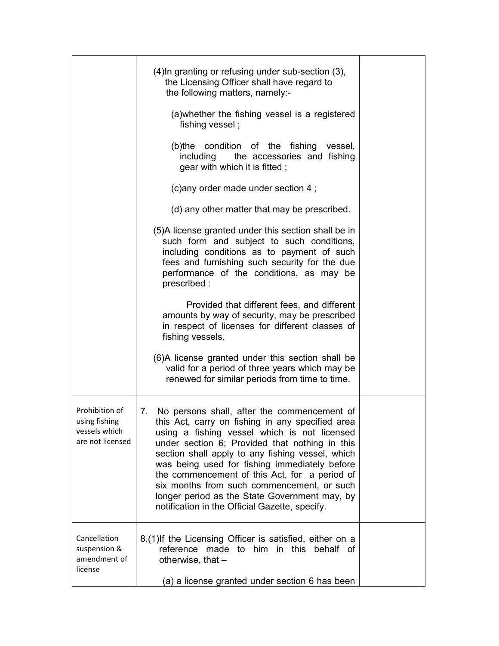|                                                                      | (4) In granting or refusing under sub-section (3),<br>the Licensing Officer shall have regard to<br>the following matters, namely:-                                                                                                                                                                                                                                                                                                                                                                         |  |
|----------------------------------------------------------------------|-------------------------------------------------------------------------------------------------------------------------------------------------------------------------------------------------------------------------------------------------------------------------------------------------------------------------------------------------------------------------------------------------------------------------------------------------------------------------------------------------------------|--|
|                                                                      | (a) whether the fishing vessel is a registered<br>fishing vessel;                                                                                                                                                                                                                                                                                                                                                                                                                                           |  |
|                                                                      | (b)the condition of the fishing<br>vessel,<br>including<br>the accessories and fishing<br>gear with which it is fitted;                                                                                                                                                                                                                                                                                                                                                                                     |  |
|                                                                      | (c) any order made under section 4;                                                                                                                                                                                                                                                                                                                                                                                                                                                                         |  |
|                                                                      | (d) any other matter that may be prescribed.                                                                                                                                                                                                                                                                                                                                                                                                                                                                |  |
|                                                                      | (5) A license granted under this section shall be in<br>such form and subject to such conditions,<br>including conditions as to payment of such<br>fees and furnishing such security for the due<br>performance of the conditions, as may be<br>prescribed:                                                                                                                                                                                                                                                 |  |
|                                                                      | Provided that different fees, and different<br>amounts by way of security, may be prescribed<br>in respect of licenses for different classes of<br>fishing vessels.                                                                                                                                                                                                                                                                                                                                         |  |
|                                                                      | (6)A license granted under this section shall be<br>valid for a period of three years which may be<br>renewed for similar periods from time to time.                                                                                                                                                                                                                                                                                                                                                        |  |
| Prohibition of<br>using fishing<br>vessels which<br>are not licensed | 7. No persons shall, after the commencement of<br>this Act, carry on fishing in any specified area<br>using a fishing vessel which is not licensed<br>under section 6; Provided that nothing in this<br>section shall apply to any fishing vessel, which<br>was being used for fishing immediately before<br>the commencement of this Act, for a period of<br>six months from such commencement, or such<br>longer period as the State Government may, by<br>notification in the Official Gazette, specify. |  |
| Cancellation<br>suspension &<br>amendment of<br>license              | 8.(1) If the Licensing Officer is satisfied, either on a<br>reference<br>made to him in this behalf of<br>otherwise, that -                                                                                                                                                                                                                                                                                                                                                                                 |  |
|                                                                      | (a) a license granted under section 6 has been                                                                                                                                                                                                                                                                                                                                                                                                                                                              |  |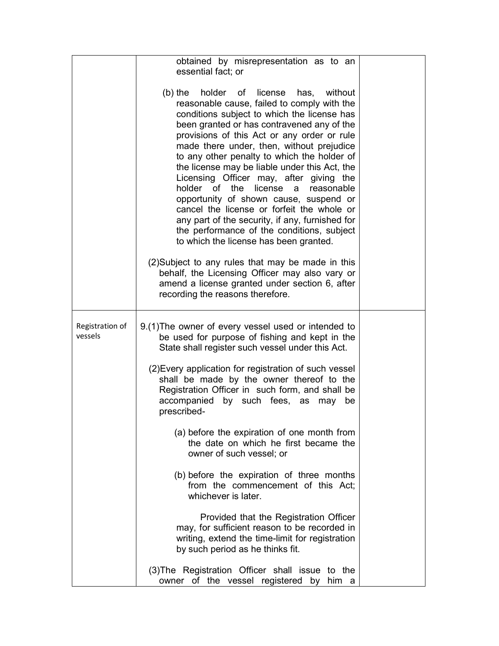|                            | obtained by misrepresentation as to an<br>essential fact; or                                                                                                                                                                                                                                                                                                                                                                                                                                                                                                                                                                                                                                                                                                                                                                                                                                               |  |
|----------------------------|------------------------------------------------------------------------------------------------------------------------------------------------------------------------------------------------------------------------------------------------------------------------------------------------------------------------------------------------------------------------------------------------------------------------------------------------------------------------------------------------------------------------------------------------------------------------------------------------------------------------------------------------------------------------------------------------------------------------------------------------------------------------------------------------------------------------------------------------------------------------------------------------------------|--|
|                            | $(b)$ the<br>holder of license<br>has,<br>without<br>reasonable cause, failed to comply with the<br>conditions subject to which the license has<br>been granted or has contravened any of the<br>provisions of this Act or any order or rule<br>made there under, then, without prejudice<br>to any other penalty to which the holder of<br>the license may be liable under this Act, the<br>Licensing Officer may, after giving the<br>holder of the license a reasonable<br>opportunity of shown cause, suspend or<br>cancel the license or forfeit the whole or<br>any part of the security, if any, furnished for<br>the performance of the conditions, subject<br>to which the license has been granted.<br>(2) Subject to any rules that may be made in this<br>behalf, the Licensing Officer may also vary or<br>amend a license granted under section 6, after<br>recording the reasons therefore. |  |
|                            |                                                                                                                                                                                                                                                                                                                                                                                                                                                                                                                                                                                                                                                                                                                                                                                                                                                                                                            |  |
| Registration of<br>vessels | 9.(1) The owner of every vessel used or intended to<br>be used for purpose of fishing and kept in the<br>State shall register such vessel under this Act.                                                                                                                                                                                                                                                                                                                                                                                                                                                                                                                                                                                                                                                                                                                                                  |  |
|                            | (2) Every application for registration of such vessel<br>shall be made by the owner thereof to the<br>Registration Officer in such form, and shall be<br>accompanied by such fees, as may<br>be<br>prescribed-                                                                                                                                                                                                                                                                                                                                                                                                                                                                                                                                                                                                                                                                                             |  |
|                            | (a) before the expiration of one month from<br>the date on which he first became the<br>owner of such vessel; or                                                                                                                                                                                                                                                                                                                                                                                                                                                                                                                                                                                                                                                                                                                                                                                           |  |
|                            | (b) before the expiration of three months<br>from the commencement of this Act;<br>whichever is later.                                                                                                                                                                                                                                                                                                                                                                                                                                                                                                                                                                                                                                                                                                                                                                                                     |  |
|                            | Provided that the Registration Officer<br>may, for sufficient reason to be recorded in<br>writing, extend the time-limit for registration<br>by such period as he thinks fit.                                                                                                                                                                                                                                                                                                                                                                                                                                                                                                                                                                                                                                                                                                                              |  |
|                            | (3) The Registration Officer shall issue to the<br>owner of the vessel registered by him a                                                                                                                                                                                                                                                                                                                                                                                                                                                                                                                                                                                                                                                                                                                                                                                                                 |  |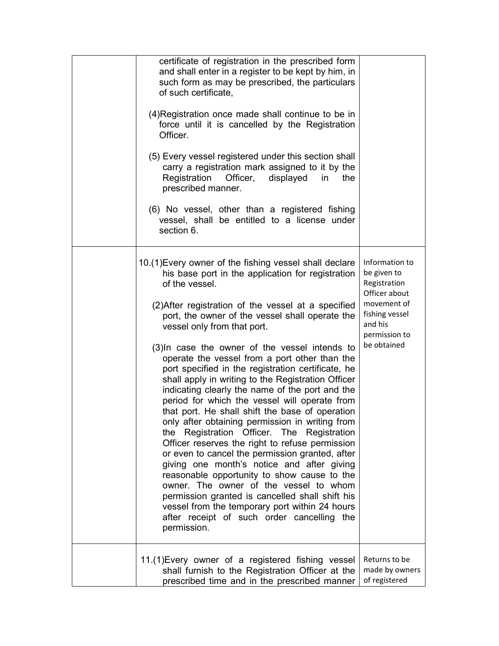| certificate of registration in the prescribed form<br>and shall enter in a register to be kept by him, in<br>such form as may be prescribed, the particulars<br>of such certificate,<br>(4) Registration once made shall continue to be in<br>force until it is cancelled by the Registration<br>Officer.<br>(5) Every vessel registered under this section shall<br>carry a registration mark assigned to it by the<br>Officer,<br>Registration<br>displayed<br>in.<br>the<br>prescribed manner.<br>(6) No vessel, other than a registered fishing<br>vessel, shall be entitled to a license under<br>section 6.                                                                                                                                                                                                                                                                                                                                                                                                                                                                                                                                               |                                                                                                                                            |
|-----------------------------------------------------------------------------------------------------------------------------------------------------------------------------------------------------------------------------------------------------------------------------------------------------------------------------------------------------------------------------------------------------------------------------------------------------------------------------------------------------------------------------------------------------------------------------------------------------------------------------------------------------------------------------------------------------------------------------------------------------------------------------------------------------------------------------------------------------------------------------------------------------------------------------------------------------------------------------------------------------------------------------------------------------------------------------------------------------------------------------------------------------------------|--------------------------------------------------------------------------------------------------------------------------------------------|
| 10.(1) Every owner of the fishing vessel shall declare<br>his base port in the application for registration<br>of the vessel.<br>(2) After registration of the vessel at a specified<br>port, the owner of the vessel shall operate the<br>vessel only from that port.<br>(3) In case the owner of the vessel intends to<br>operate the vessel from a port other than the<br>port specified in the registration certificate, he<br>shall apply in writing to the Registration Officer<br>indicating clearly the name of the port and the<br>period for which the vessel will operate from<br>that port. He shall shift the base of operation<br>only after obtaining permission in writing from<br>Registration Officer. The Registration<br>the<br>Officer reserves the right to refuse permission<br>or even to cancel the permission granted, after<br>giving one month's notice and after giving<br>reasonable opportunity to show cause to the<br>owner. The owner of the vessel to whom<br>permission granted is cancelled shall shift his<br>vessel from the temporary port within 24 hours<br>after receipt of such order cancelling the<br>permission. | Information to<br>be given to<br>Registration<br>Officer about<br>movement of<br>fishing vessel<br>and his<br>permission to<br>be obtained |
| 11.(1) Every owner of a registered fishing vessel<br>shall furnish to the Registration Officer at the<br>prescribed time and in the prescribed manner                                                                                                                                                                                                                                                                                                                                                                                                                                                                                                                                                                                                                                                                                                                                                                                                                                                                                                                                                                                                           | Returns to be<br>made by owners<br>of registered                                                                                           |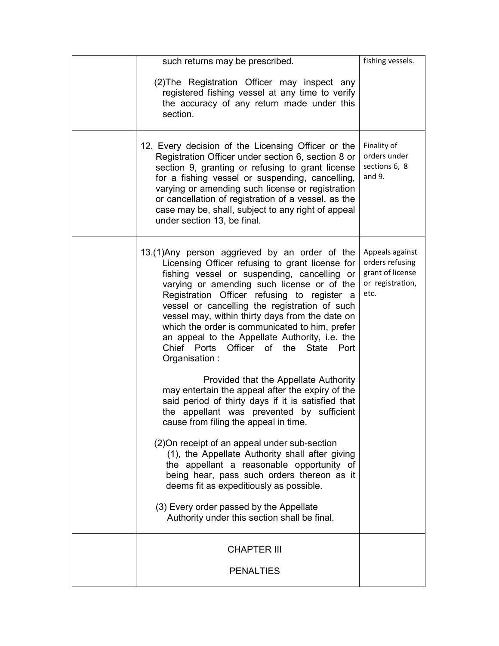| such returns may be prescribed.                                                                                                                                                                                                                                                                                                                                                                                                                                                                                 | fishing vessels.                                                                   |
|-----------------------------------------------------------------------------------------------------------------------------------------------------------------------------------------------------------------------------------------------------------------------------------------------------------------------------------------------------------------------------------------------------------------------------------------------------------------------------------------------------------------|------------------------------------------------------------------------------------|
| (2) The Registration Officer may inspect any<br>registered fishing vessel at any time to verify<br>the accuracy of any return made under this<br>section.                                                                                                                                                                                                                                                                                                                                                       |                                                                                    |
| 12. Every decision of the Licensing Officer or the<br>Registration Officer under section 6, section 8 or<br>section 9, granting or refusing to grant license<br>for a fishing vessel or suspending, cancelling,<br>varying or amending such license or registration<br>or cancellation of registration of a vessel, as the<br>case may be, shall, subject to any right of appeal<br>under section 13, be final.                                                                                                 | Finality of<br>orders under<br>sections 6, 8<br>and $9.$                           |
| 13.(1) Any person aggrieved by an order of the<br>Licensing Officer refusing to grant license for<br>fishing vessel or suspending, cancelling or<br>varying or amending such license or of the<br>Registration Officer refusing to register a<br>vessel or cancelling the registration of such<br>vessel may, within thirty days from the date on<br>which the order is communicated to him, prefer<br>an appeal to the Appellate Authority, i.e. the<br>Chief Ports Officer of the State Port<br>Organisation: | Appeals against<br>orders refusing<br>grant of license<br>or registration,<br>etc. |
| Provided that the Appellate Authority<br>may entertain the appeal after the expiry of the<br>said period of thirty days if it is satisfied that<br>the appellant was prevented by sufficient<br>cause from filing the appeal in time.                                                                                                                                                                                                                                                                           |                                                                                    |
| (2) On receipt of an appeal under sub-section<br>(1), the Appellate Authority shall after giving<br>the appellant a reasonable opportunity of<br>being hear, pass such orders thereon as it<br>deems fit as expeditiously as possible.                                                                                                                                                                                                                                                                          |                                                                                    |
| (3) Every order passed by the Appellate<br>Authority under this section shall be final.                                                                                                                                                                                                                                                                                                                                                                                                                         |                                                                                    |
| <b>CHAPTER III</b>                                                                                                                                                                                                                                                                                                                                                                                                                                                                                              |                                                                                    |
| <b>PENALTIES</b>                                                                                                                                                                                                                                                                                                                                                                                                                                                                                                |                                                                                    |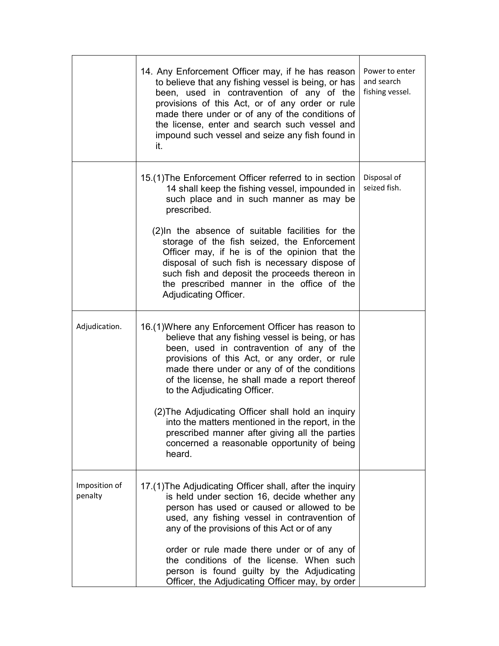|                          | 14. Any Enforcement Officer may, if he has reason<br>to believe that any fishing vessel is being, or has<br>been, used in contravention of any of the<br>provisions of this Act, or of any order or rule<br>made there under or of any of the conditions of<br>the license, enter and search such vessel and<br>impound such vessel and seize any fish found in<br>it.                                                                                                                             | Power to enter<br>and search<br>fishing vessel. |
|--------------------------|----------------------------------------------------------------------------------------------------------------------------------------------------------------------------------------------------------------------------------------------------------------------------------------------------------------------------------------------------------------------------------------------------------------------------------------------------------------------------------------------------|-------------------------------------------------|
|                          | 15.(1) The Enforcement Officer referred to in section<br>14 shall keep the fishing vessel, impounded in<br>such place and in such manner as may be<br>prescribed.<br>(2) In the absence of suitable facilities for the<br>storage of the fish seized, the Enforcement<br>Officer may, if he is of the opinion that the<br>disposal of such fish is necessary dispose of<br>such fish and deposit the proceeds thereon in<br>the prescribed manner in the office of the<br>Adjudicating Officer.    | Disposal of<br>seized fish.                     |
| Adjudication.            | 16.(1) Where any Enforcement Officer has reason to<br>believe that any fishing vessel is being, or has<br>been, used in contravention of any of the<br>provisions of this Act, or any order, or rule<br>made there under or any of of the conditions<br>of the license, he shall made a report thereof<br>to the Adjudicating Officer.<br>(2) The Adjudicating Officer shall hold an inquiry<br>into the matters mentioned in the report, in the<br>prescribed manner after giving all the parties |                                                 |
|                          | concerned a reasonable opportunity of being<br>heard.                                                                                                                                                                                                                                                                                                                                                                                                                                              |                                                 |
| Imposition of<br>penalty | 17.(1) The Adjudicating Officer shall, after the inquiry<br>is held under section 16, decide whether any<br>person has used or caused or allowed to be<br>used, any fishing vessel in contravention of<br>any of the provisions of this Act or of any<br>order or rule made there under or of any of<br>the conditions of the license. When such<br>person is found guilty by the Adjudicating<br>Officer, the Adjudicating Officer may, by order                                                  |                                                 |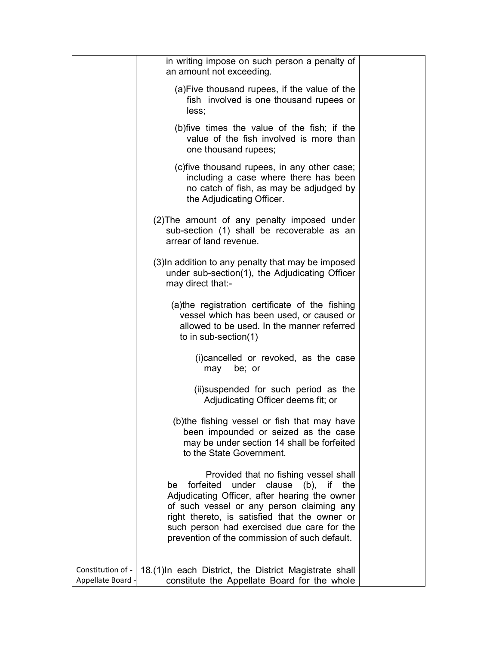|                                        | in writing impose on such person a penalty of<br>an amount not exceeding.                                                                                                                                                                                                                                                          |  |
|----------------------------------------|------------------------------------------------------------------------------------------------------------------------------------------------------------------------------------------------------------------------------------------------------------------------------------------------------------------------------------|--|
|                                        | (a) Five thousand rupees, if the value of the<br>fish involved is one thousand rupees or<br>less;                                                                                                                                                                                                                                  |  |
|                                        | (b) five times the value of the fish; if the<br>value of the fish involved is more than<br>one thousand rupees;                                                                                                                                                                                                                    |  |
|                                        | (c) five thousand rupees, in any other case;<br>including a case where there has been<br>no catch of fish, as may be adjudged by<br>the Adjudicating Officer.                                                                                                                                                                      |  |
|                                        | (2) The amount of any penalty imposed under<br>sub-section (1) shall be recoverable as an<br>arrear of land revenue.                                                                                                                                                                                                               |  |
|                                        | (3) In addition to any penalty that may be imposed<br>under sub-section(1), the Adjudicating Officer<br>may direct that:-                                                                                                                                                                                                          |  |
|                                        | (a)the registration certificate of the fishing<br>vessel which has been used, or caused or<br>allowed to be used. In the manner referred<br>to in sub-section(1)                                                                                                                                                                   |  |
|                                        | (i) cancelled or revoked, as the case<br>may<br>be; or                                                                                                                                                                                                                                                                             |  |
|                                        | (ii) suspended for such period as the<br>Adjudicating Officer deems fit; or                                                                                                                                                                                                                                                        |  |
|                                        | (b)the fishing vessel or fish that may have<br>been impounded or seized as the case<br>may be under section 14 shall be forfeited<br>to the State Government.                                                                                                                                                                      |  |
|                                        | Provided that no fishing vessel shall<br>under clause (b), if the<br>forfeited<br>be<br>Adjudicating Officer, after hearing the owner<br>of such vessel or any person claiming any<br>right thereto, is satisfied that the owner or<br>such person had exercised due care for the<br>prevention of the commission of such default. |  |
| Constitution of -<br>Appellate Board - | 18.(1) In each District, the District Magistrate shall<br>constitute the Appellate Board for the whole                                                                                                                                                                                                                             |  |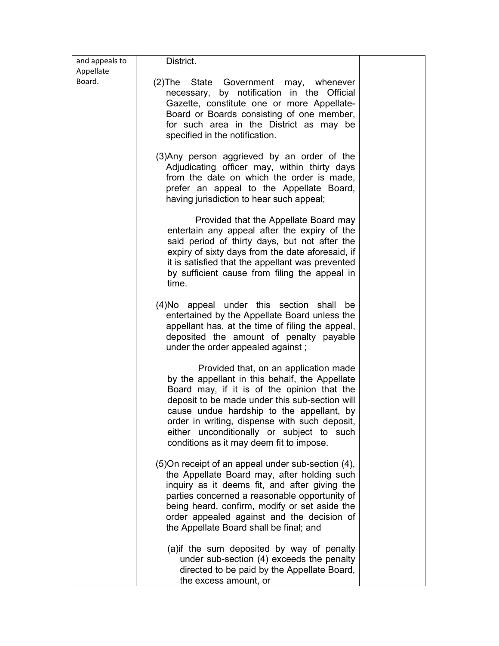| and appeals to | District.                                                                                                                                                                                                                                                                                                                                                                       |  |
|----------------|---------------------------------------------------------------------------------------------------------------------------------------------------------------------------------------------------------------------------------------------------------------------------------------------------------------------------------------------------------------------------------|--|
| Appellate      |                                                                                                                                                                                                                                                                                                                                                                                 |  |
| Board.         | (2) The State Government may, whenever<br>necessary, by notification in the Official<br>Gazette, constitute one or more Appellate-<br>Board or Boards consisting of one member,<br>for such area in the District as may be<br>specified in the notification.                                                                                                                    |  |
|                | (3) Any person aggrieved by an order of the<br>Adjudicating officer may, within thirty days<br>from the date on which the order is made,<br>prefer an appeal to the Appellate Board,<br>having jurisdiction to hear such appeal;                                                                                                                                                |  |
|                | Provided that the Appellate Board may<br>entertain any appeal after the expiry of the<br>said period of thirty days, but not after the<br>expiry of sixty days from the date aforesaid, if<br>it is satisfied that the appellant was prevented<br>by sufficient cause from filing the appeal in<br>time.                                                                        |  |
|                | (4) No appeal under this section shall be<br>entertained by the Appellate Board unless the<br>appellant has, at the time of filing the appeal,<br>deposited the amount of penalty payable<br>under the order appealed against;                                                                                                                                                  |  |
|                | Provided that, on an application made<br>by the appellant in this behalf, the Appellate<br>Board may, if it is of the opinion that the<br>deposit to be made under this sub-section will<br>cause undue hardship to the appellant, by<br>order in writing, dispense with such deposit,<br>either unconditionally or subject to such<br>conditions as it may deem fit to impose. |  |
|                | (5) On receipt of an appeal under sub-section (4),<br>the Appellate Board may, after holding such<br>inquiry as it deems fit, and after giving the<br>parties concerned a reasonable opportunity of<br>being heard, confirm, modify or set aside the<br>order appealed against and the decision of<br>the Appellate Board shall be final; and                                   |  |
|                | (a) if the sum deposited by way of penalty<br>under sub-section (4) exceeds the penalty<br>directed to be paid by the Appellate Board,<br>the excess amount, or                                                                                                                                                                                                                 |  |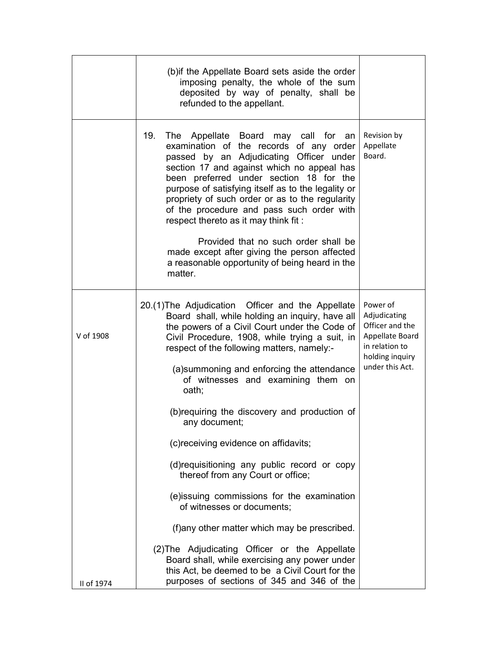|            | (b) if the Appellate Board sets aside the order<br>imposing penalty, the whole of the sum<br>deposited by way of penalty, shall be<br>refunded to the appellant.                                                                                                                                                                                                                                                        |                                                                                                                        |
|------------|-------------------------------------------------------------------------------------------------------------------------------------------------------------------------------------------------------------------------------------------------------------------------------------------------------------------------------------------------------------------------------------------------------------------------|------------------------------------------------------------------------------------------------------------------------|
|            | 19.<br>The Appellate Board may call for an<br>examination of the records of any order<br>passed by an Adjudicating Officer under<br>section 17 and against which no appeal has<br>been preferred under section 18 for the<br>purpose of satisfying itself as to the legality or<br>propriety of such order or as to the regularity<br>of the procedure and pass such order with<br>respect thereto as it may think fit: | Revision by<br>Appellate<br>Board.                                                                                     |
|            | Provided that no such order shall be<br>made except after giving the person affected<br>a reasonable opportunity of being heard in the<br>matter.                                                                                                                                                                                                                                                                       |                                                                                                                        |
| V of 1908  | 20.(1) The Adjudication Officer and the Appellate<br>Board shall, while holding an inquiry, have all<br>the powers of a Civil Court under the Code of<br>Civil Procedure, 1908, while trying a suit, in<br>respect of the following matters, namely:-                                                                                                                                                                   | Power of<br>Adjudicating<br>Officer and the<br>Appellate Board<br>in relation to<br>holding inquiry<br>under this Act. |
|            | (a) summoning and enforcing the attendance<br>of witnesses and examining them on<br>oath;                                                                                                                                                                                                                                                                                                                               |                                                                                                                        |
|            | (b) requiring the discovery and production of<br>any document;                                                                                                                                                                                                                                                                                                                                                          |                                                                                                                        |
|            | (c) receiving evidence on affidavits;                                                                                                                                                                                                                                                                                                                                                                                   |                                                                                                                        |
|            | (d) requisitioning any public record or copy<br>thereof from any Court or office;                                                                                                                                                                                                                                                                                                                                       |                                                                                                                        |
|            | (e)issuing commissions for the examination<br>of witnesses or documents:                                                                                                                                                                                                                                                                                                                                                |                                                                                                                        |
|            | (f) any other matter which may be prescribed.                                                                                                                                                                                                                                                                                                                                                                           |                                                                                                                        |
| II of 1974 | (2) The Adjudicating Officer or the Appellate<br>Board shall, while exercising any power under<br>this Act, be deemed to be a Civil Court for the<br>purposes of sections of 345 and 346 of the                                                                                                                                                                                                                         |                                                                                                                        |
|            |                                                                                                                                                                                                                                                                                                                                                                                                                         |                                                                                                                        |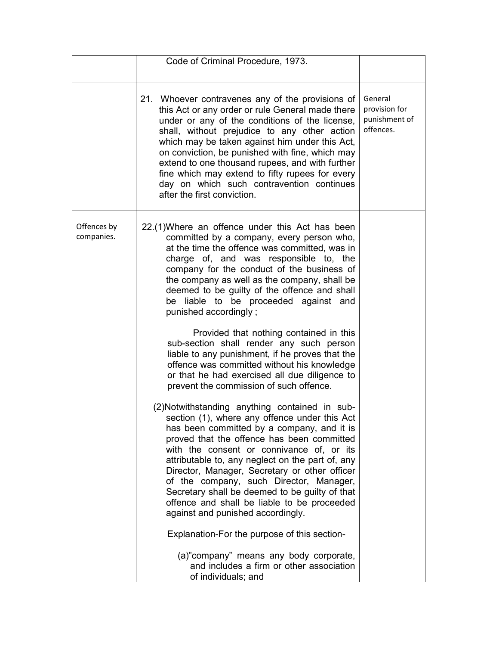|                           | Code of Criminal Procedure, 1973.                                                                                                                                                                                                                                                                                                                                                                                                                                                                                                                                                                                                                                                                                                                                                                                                                                                                                                                                                            |                                                        |
|---------------------------|----------------------------------------------------------------------------------------------------------------------------------------------------------------------------------------------------------------------------------------------------------------------------------------------------------------------------------------------------------------------------------------------------------------------------------------------------------------------------------------------------------------------------------------------------------------------------------------------------------------------------------------------------------------------------------------------------------------------------------------------------------------------------------------------------------------------------------------------------------------------------------------------------------------------------------------------------------------------------------------------|--------------------------------------------------------|
|                           | 21. Whoever contravenes any of the provisions of<br>this Act or any order or rule General made there<br>under or any of the conditions of the license,<br>shall, without prejudice to any other action<br>which may be taken against him under this Act,<br>on conviction, be punished with fine, which may<br>extend to one thousand rupees, and with further<br>fine which may extend to fifty rupees for every<br>day on which such contravention continues<br>after the first conviction.                                                                                                                                                                                                                                                                                                                                                                                                                                                                                                | General<br>provision for<br>punishment of<br>offences. |
| Offences by<br>companies. | 22.(1) Where an offence under this Act has been<br>committed by a company, every person who,<br>at the time the offence was committed, was in<br>charge of, and was responsible to, the<br>company for the conduct of the business of<br>the company as well as the company, shall be<br>deemed to be guilty of the offence and shall<br>be liable to be proceeded against and<br>punished accordingly;<br>Provided that nothing contained in this<br>sub-section shall render any such person<br>liable to any punishment, if he proves that the<br>offence was committed without his knowledge<br>or that he had exercised all due diligence to<br>prevent the commission of such offence.<br>(2) Notwithstanding anything contained in sub-<br>section (1), where any offence under this Act<br>has been committed by a company, and it is<br>proved that the offence has been committed<br>with the consent or connivance of, or its<br>attributable to, any neglect on the part of, any |                                                        |
|                           | Director, Manager, Secretary or other officer<br>of the company, such Director, Manager,<br>Secretary shall be deemed to be guilty of that<br>offence and shall be liable to be proceeded<br>against and punished accordingly.                                                                                                                                                                                                                                                                                                                                                                                                                                                                                                                                                                                                                                                                                                                                                               |                                                        |
|                           | Explanation-For the purpose of this section-<br>(a)"company" means any body corporate,<br>and includes a firm or other association<br>of individuals; and                                                                                                                                                                                                                                                                                                                                                                                                                                                                                                                                                                                                                                                                                                                                                                                                                                    |                                                        |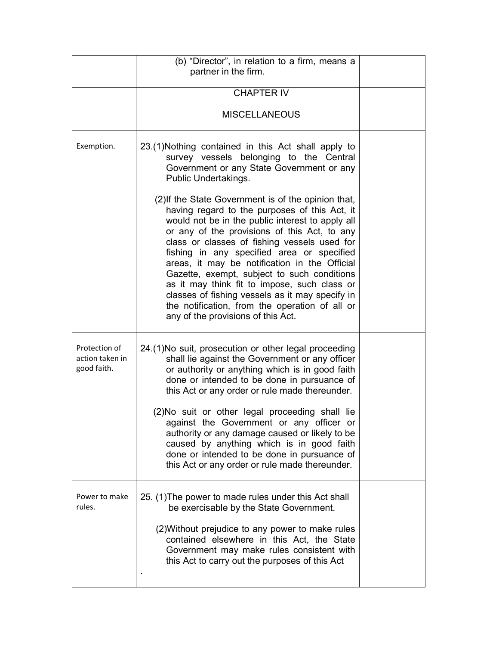|                                                 | (b) "Director", in relation to a firm, means a<br>partner in the firm.                                                                                                                                                                                                                                                                                                                                                                                                                                                                                                                            |  |
|-------------------------------------------------|---------------------------------------------------------------------------------------------------------------------------------------------------------------------------------------------------------------------------------------------------------------------------------------------------------------------------------------------------------------------------------------------------------------------------------------------------------------------------------------------------------------------------------------------------------------------------------------------------|--|
|                                                 | <b>CHAPTER IV</b>                                                                                                                                                                                                                                                                                                                                                                                                                                                                                                                                                                                 |  |
|                                                 | <b>MISCELLANEOUS</b>                                                                                                                                                                                                                                                                                                                                                                                                                                                                                                                                                                              |  |
| Exemption.                                      | 23.(1) Nothing contained in this Act shall apply to<br>survey vessels belonging to the Central<br>Government or any State Government or any<br>Public Undertakings.                                                                                                                                                                                                                                                                                                                                                                                                                               |  |
|                                                 | (2) If the State Government is of the opinion that,<br>having regard to the purposes of this Act, it<br>would not be in the public interest to apply all<br>or any of the provisions of this Act, to any<br>class or classes of fishing vessels used for<br>fishing in any specified area or specified<br>areas, it may be notification in the Official<br>Gazette, exempt, subject to such conditions<br>as it may think fit to impose, such class or<br>classes of fishing vessels as it may specify in<br>the notification, from the operation of all or<br>any of the provisions of this Act. |  |
| Protection of<br>action taken in<br>good faith. | 24.(1) No suit, prosecution or other legal proceeding<br>shall lie against the Government or any officer<br>or authority or anything which is in good faith<br>done or intended to be done in pursuance of<br>this Act or any order or rule made thereunder.<br>(2) No suit or other legal proceeding shall lie<br>against the Government or any officer or<br>authority or any damage caused or likely to be<br>caused by anything which is in good faith<br>done or intended to be done in pursuance of<br>this Act or any order or rule made thereunder.                                       |  |
| Power to make<br>rules.                         | 25. (1) The power to made rules under this Act shall<br>be exercisable by the State Government.<br>(2) Without prejudice to any power to make rules<br>contained elsewhere in this Act, the State<br>Government may make rules consistent with<br>this Act to carry out the purposes of this Act                                                                                                                                                                                                                                                                                                  |  |